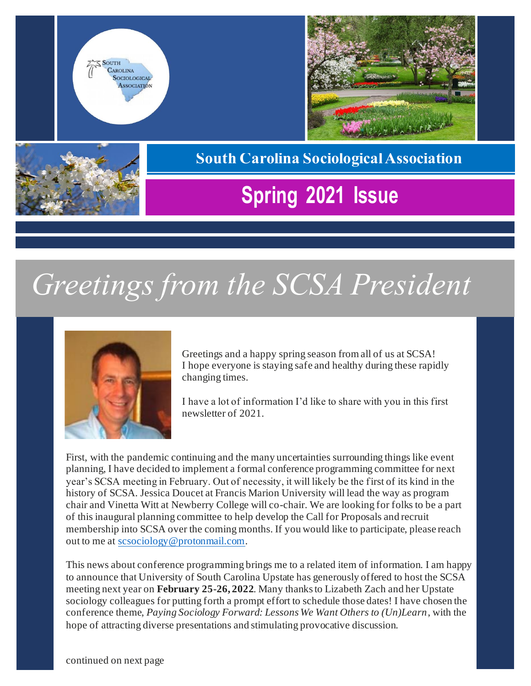





#### **South Carolina Sociological Association**

## **Spring 2021 Issue**

# *Greetings from the SCSA President*



Greetings and a happy spring season from all of us at SCSA! I hope everyone is staying safe and healthy during these rapidly changing times.

I have a lot of information I'd like to share with you in this first newsletter of 2021.

First, with the pandemic continuing and the many uncertainties surrounding things like event planning, I have decided to implement a formal conference programming committee for next year's SCSA meeting in February. Out of necessity, it will likely be the first of its kind in the history of SCSA. Jessica Doucet at Francis Marion University will lead the way as program chair and Vinetta Witt at Newberry College will co-chair. We are looking for folks to be a part of this inaugural planning committee to help develop the Call for Proposals and recruit membership into SCSA over the coming months. If you would like to participate, please reach out to me at<scsociology@protonmail.com>.

This news about conference programming brings me to a related item of information. I am happy to announce that University of South Carolina Upstate has generously offered to host the SCSA meeting next year on **February 25-26, 2022**. Many thanks to Lizabeth Zach and her Upstate sociology colleagues for putting forth a prompt effort to schedule those dates! I have chosen the conference theme, *Paying Sociology Forward: Lessons We Want Others to (Un)Learn*, with the hope of attracting diverse presentations and stimulating provocative discussion.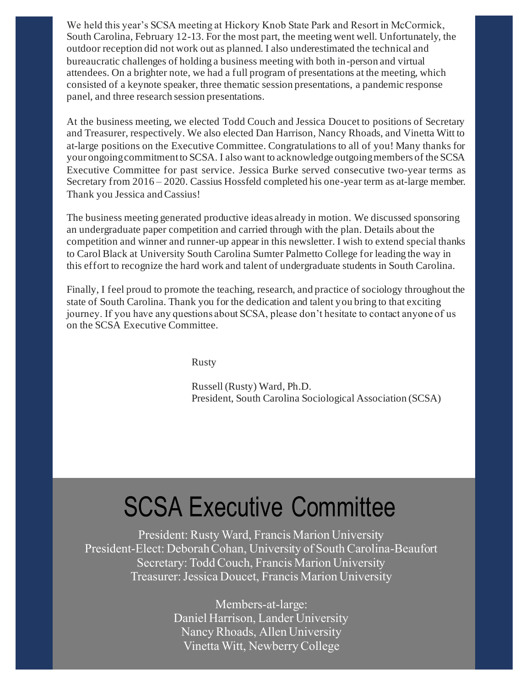We held this year's SCSA meeting at Hickory Knob State Park and Resort in McCormick, South Carolina, February 12-13. For the most part, the meeting went well. Unfortunately, the outdoor reception did not work out as planned. I also underestimated the technical and bureaucratic challenges of holding a business meeting with both in-person and virtual attendees. On a brighter note, we had a full program of presentations at the meeting, which consisted of a keynote speaker, three thematic session presentations, a pandemic response panel, and three research session presentations.

At the business meeting, we elected Todd Couch and Jessica Doucet to positions of Secretary and Treasurer, respectively. We also elected Dan Harrison, Nancy Rhoads, and Vinetta Witt to at-large positions on the Executive Committee. Congratulations to all of you! Many thanks for your ongoing commitment to SCSA. I also want to acknowledge outgoing members of the SCSA Executive Committee for past service. Jessica Burke served consecutive two-year terms as Secretary from 2016 – 2020. Cassius Hossfeld completed his one-year term as at-large member. Thank you Jessica and Cassius!

The business meeting generated productive ideas already in motion. We discussed sponsoring an undergraduate paper competition and carried through with the plan. Details about the competition and winner and runner-up appear in this newsletter. I wish to extend special thanks to Carol Black at University South Carolina Sumter Palmetto College for leading the way in this effort to recognize the hard work and talent of undergraduate students in South Carolina.

Finally, I feel proud to promote the teaching, research, and practice of sociology throughout the state of South Carolina. Thank you for the dedication and talent you bring to that exciting journey. If you have any questions about SCSA, please don't hesitate to contact anyone of us on the SCSA Executive Committee.

Rusty

Russell (Rusty) Ward, Ph.D. President, South Carolina Sociological Association (SCSA)

## SCSA Executive Committee

President: Rusty Ward, Francis Marion University President-Elect: Deborah Cohan, University of South Carolina-Beaufort Secretary: Todd Couch, Francis Marion University Treasurer: Jessica Doucet, Francis Marion University

> Members-at-large: Daniel Harrison, Lander University Nancy Rhoads, Allen University Vinetta Witt, Newberry College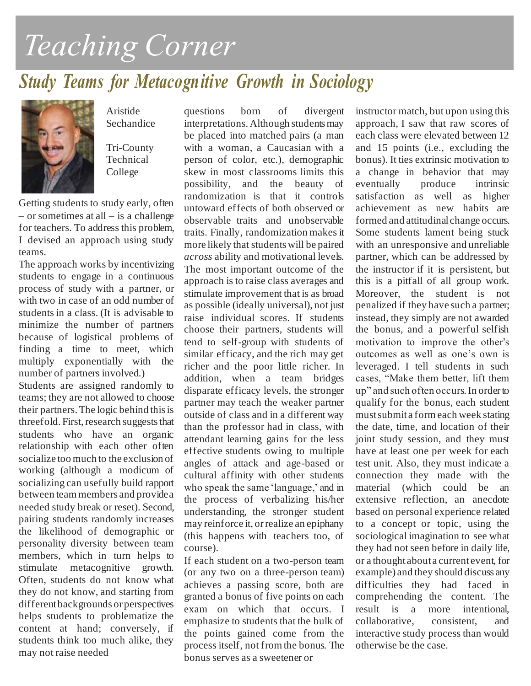# *Teaching Corner*

### *Study Teams for Metacognitive Growth in Sociology*



Aristide Sechandice

Tri-County Technical College

Getting students to study early, often  $-$  or sometimes at all  $-$  is a challenge for teachers. To address this problem, I devised an approach using study teams.

The approach works by incentivizing students to engage in a continuous process of study with a partner, or with two in case of an odd number of students in a class. (It is advisable to minimize the number of partners because of logistical problems of finding a time to meet, which multiply exponentially with the number of partners involved.)

Students are assigned randomly to teams; they are not allowed to choose their partners. The logic behind this is threefold. First, research suggests that students who have an organic relationship with each other often socialize too much to the exclusion of working (although a modicum of socializing can usefully build rapport between team members and provide a needed study break or reset). Second, pairing students randomly increases the likelihood of demographic or personality diversity between team members, which in turn helps to stimulate metacognitive growth. Often, students do not know what they do not know, and starting from different backgrounds or perspectives helps students to problematize the content at hand; conversely, if students think too much alike, they may not raise needed

questions born of divergent interpretations. Although students may be placed into matched pairs (a man with a woman, a Caucasian with a person of color, etc.), demographic skew in most classrooms limits this possibility, and the beauty of randomization is that it controls untoward effects of both observed or observable traits and unobservable traits. Finally, randomization makes it more likely that students will be paired *across* ability and motivational levels. The most important outcome of the approach is to raise class averages and stimulate improvement that is as broad as possible (ideally universal), not just raise individual scores. If students choose their partners, students will tend to self-group with students of similar efficacy, and the rich may get richer and the poor little richer. In addition, when a team bridges disparate efficacy levels, the stronger partner may teach the weaker partner outside of class and in a different way than the professor had in class, with attendant learning gains for the less effective students owing to multiple angles of attack and age-based or cultural affinity with other students who speak the same 'language,' and in the process of verbalizing his/her understanding, the stronger student may reinforce it, or realize an epiphany (this happens with teachers too, of course).

If each student on a two-person team (or any two on a three-person team) achieves a passing score, both are granted a bonus of five points on each exam on which that occurs. I emphasize to students that the bulk of the points gained come from the process itself, not from the bonus. The bonus serves as a sweetener or

instructor match, but upon using this approach, I saw that raw scores of each class were elevated between 12 and 15 points (i.e., excluding the bonus). It ties extrinsic motivation to a change in behavior that may eventually produce intrinsic satisfaction as well as higher achievement as new habits are formed and attitudinal change occurs. Some students lament being stuck with an unresponsive and unreliable partner, which can be addressed by the instructor if it is persistent, but this is a pitfall of all group work. Moreover, the student is not penalized if they have such a partner; instead, they simply are not awarded the bonus, and a powerful selfish motivation to improve the other's outcomes as well as one's own is leveraged. I tell students in such cases, "Make them better, lift them up" and such often occurs. In order to qualify for the bonus, each student must submit a form each week stating the date, time, and location of their joint study session, and they must have at least one per week for each test unit. Also, they must indicate a connection they made with the material (which could be an extensive reflection, an anecdote based on personal experience related to a concept or topic, using the sociological imagination to see what they had not seen before in daily life, or a thought about a current event, for example) and they should discuss any difficulties they had faced in comprehending the content. The result is a more intentional, collaborative, consistent, and interactive study process than would otherwise be the case.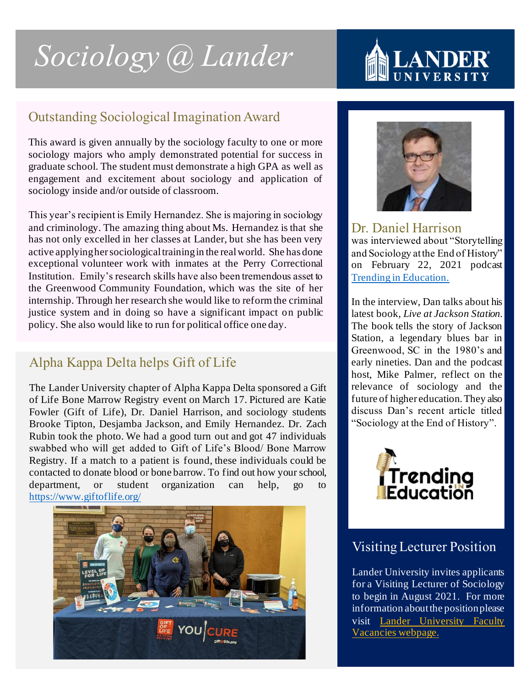# *Sociology @ Lander*

# **MLANI**

#### Outstanding Sociological Imagination Award

This award is given annually by the sociology faculty to one or more sociology majors who amply demonstrated potential for success in graduate school. The student must demonstrate a high GPA as well as engagement and excitement about sociology and application of sociology inside and/or outside of classroom.

This year's recipient is Emily Hernandez. She is majoring in sociology and criminology. The amazing thing about Ms. Hernandez is that she has not only excelled in her classes at Lander, but she has been very active applying her sociological training in the real world. She has done exceptional volunteer work with inmates at the Perry Correctional Institution. Emily's research skills have also been tremendous asset to the Greenwood Community Foundation, which was the site of her internship. Through her research she would like to reform the criminal justice system and in doing so have a significant impact on public policy. She also would like to run for political office one day.

#### Alpha Kappa Delta helps Gift of Life

The Lander University chapter of Alpha Kappa Delta sponsored a Gift of Life Bone Marrow Registry event on March 17. Pictured are Katie Fowler (Gift of Life), Dr. Daniel Harrison, and sociology students Brooke Tipton, Desjamba Jackson, and Emily Hernandez. Dr. Zach Rubin took the photo. We had a good turn out and got 47 individuals swabbed who will get added to Gift of Life's Blood/ Bone Marrow Registry. If a match to a patient is found, these individuals could be contacted to donate blood or bone barrow. To find out how your school, department, or student organization can help, go to <https://www.giftoflife.org/>





#### Dr. Daniel Harrison

was interviewed about "Storytelling and Sociology at the End of History" on February 22, 2021 podcast [Trending in Education.](https://podcasts.apple.com/us/podcast/storytelling-sociology-at-end-history-dr-daniel-harrison/id1150805729?i=1000510145776)

In the interview, Dan talks about his latest book, *Live at Jackson Station*. The book tells the story of Jackson Station, a legendary blues bar in Greenwood, SC in the 1980's and early nineties. Dan and the podcast host, Mike Palmer, reflect on the relevance of sociology and the future of higher education. They also discuss Dan's recent article titled "Sociology at the End of History".



#### Visiting Lecturer Position

Lander University invites applicants for a Visiting Lecturer of Sociology to begin in August 2021. For more information about the position please visit [Lander University Faculty](https://www.lander.edu/about/human-resources/employment-opportunities/faculty-vacancies)  [Vacancies webpage.](https://www.lander.edu/about/human-resources/employment-opportunities/faculty-vacancies)